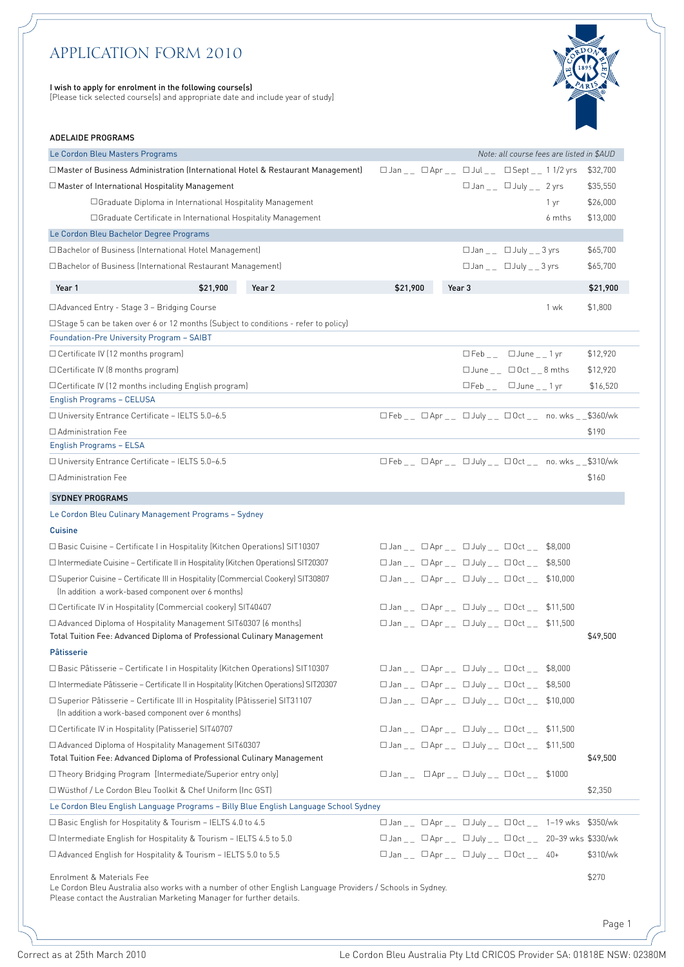# *APPLICATION FORM 2010*

#### I wish to apply for enrolment in the following course(s)

[Please tick selected course(s) and appropriate date and include year of study]



# ADELAIDE PROGRAMS

| Le Cordon Bleu Masters Programs                                                                                                                                                                                 |          |                                                                                              | Note: all course fees are listed in \$AUD |          |
|-----------------------------------------------------------------------------------------------------------------------------------------------------------------------------------------------------------------|----------|----------------------------------------------------------------------------------------------|-------------------------------------------|----------|
| □ Master of Business Administration (International Hotel & Restaurant Management)                                                                                                                               |          | $\Box$ Jan _ $\Box$ Apr _ $\Box$ Jul _ $\Box$ Sept _ $\Box$ 11/2 yrs                         |                                           | \$32,700 |
| $\Box$ Master of International Hospitality Management                                                                                                                                                           |          | $\Box$ Jan _ _ $\Box$ July _ _ 2 yrs                                                         |                                           | \$35,550 |
| □ Graduate Diploma in International Hospitality Management                                                                                                                                                      |          |                                                                                              | 1 yr                                      | \$26,000 |
| □ Graduate Certificate in International Hospitality Management                                                                                                                                                  |          |                                                                                              | 6 mths                                    | \$13,000 |
| Le Cordon Bleu Bachelor Degree Programs                                                                                                                                                                         |          |                                                                                              |                                           |          |
| □ Bachelor of Business (International Hotel Management)                                                                                                                                                         |          | $\Box$ Jan _ _ $\Box$ July _ _ 3 yrs                                                         |                                           | \$65,700 |
| □ Bachelor of Business (International Restaurant Management)                                                                                                                                                    |          | $\Box$ Jan _ _ $\Box$ July _ _ 3 yrs                                                         |                                           | \$65,700 |
|                                                                                                                                                                                                                 |          |                                                                                              |                                           |          |
| \$21,900<br>Year 2<br>Year 1                                                                                                                                                                                    | \$21,900 | Year 3                                                                                       |                                           | \$21,900 |
| □ Advanced Entry - Stage 3 – Bridging Course                                                                                                                                                                    |          |                                                                                              | 1 wk                                      | \$1,800  |
| $\Box$ Stage 5 can be taken over 6 or 12 months (Subject to conditions - refer to policy)                                                                                                                       |          |                                                                                              |                                           |          |
| Foundation-Pre University Program - SAIBT                                                                                                                                                                       |          |                                                                                              |                                           |          |
| $\Box$ Certificate IV (12 months program)                                                                                                                                                                       |          | $\Box$ Feb <sub>-</sub> $\Box$ June <sub>--</sub> 1yr                                        |                                           | \$12,920 |
| □ Certificate IV (8 months program)                                                                                                                                                                             |          | □ June □ Oct 8 mths                                                                          |                                           | \$12,920 |
| □ Certificate IV (12 months including English program)                                                                                                                                                          |          | $\Box$ Feb <sub>--</sub> $\Box$ June <sub>--</sub> 1 yr                                      |                                           | \$16,520 |
| <b>English Programs - CELUSA</b>                                                                                                                                                                                |          |                                                                                              |                                           |          |
| □ University Entrance Certificate - IELTS 5.0-6.5                                                                                                                                                               |          | $\square$ Feb _ _ $\square$ Apr _ _ $\square$ July _ _ $\square$ Oct _ _ no. wks _ _\$360/wk |                                           |          |
| □ Administration Fee                                                                                                                                                                                            |          |                                                                                              |                                           | \$190    |
| English Programs - ELSA                                                                                                                                                                                         |          |                                                                                              |                                           |          |
| □ University Entrance Certificate - IELTS 5.0-6.5                                                                                                                                                               |          | $\Box$ Feb _ _ $\Box$ Apr _ _ $\Box$ July _ _ $\Box$ Oct _ _ no. wks _ _\$310/wk             |                                           |          |
| □ Administration Fee                                                                                                                                                                                            |          |                                                                                              |                                           | \$160    |
| <b>SYDNEY PROGRAMS</b>                                                                                                                                                                                          |          |                                                                                              |                                           |          |
| Le Cordon Bleu Culinary Management Programs - Sydney                                                                                                                                                            |          |                                                                                              |                                           |          |
| <b>Cuisine</b>                                                                                                                                                                                                  |          |                                                                                              |                                           |          |
| $\Box$ Basic Cuisine – Certificate I in Hospitality (Kitchen Operations) SIT10307                                                                                                                               |          | $\Box$ Jan _ _ $\Box$ Apr _ _ $\Box$ July _ _ $\Box$ Oct _ _ \$8,000                         |                                           |          |
| $\Box$ Intermediate Cuisine – Certificate II in Hospitality (Kitchen Operations) SIT20307                                                                                                                       |          | $\Box$ Jan _ _ $\Box$ Apr _ _ $\Box$ July _ _ $\Box$ Oct _ _ \$8,500                         |                                           |          |
| □ Superior Cuisine - Certificate III in Hospitality (Commercial Cookery) SIT30807                                                                                                                               |          | $\square$ Jan _ _ $\square$ Apr _ _ $\square$ July _ _ $\square$ Oct _ _ \$10,000            |                                           |          |
| (In addition a work-based component over 6 months)                                                                                                                                                              |          |                                                                                              |                                           |          |
| □ Certificate IV in Hospitality (Commercial cookery) SIT40407                                                                                                                                                   |          | □ Jan _ _ □ Apr _ _ □ July _ _ □ Oct _ _ \$11,500                                            |                                           |          |
| □ Advanced Diploma of Hospitality Management SIT60307 (6 months)                                                                                                                                                |          |                                                                                              |                                           |          |
|                                                                                                                                                                                                                 |          |                                                                                              |                                           |          |
| Total Tuition Fee: Advanced Diploma of Professional Culinary Management                                                                                                                                         |          |                                                                                              |                                           | \$49,500 |
| Pâtisserie                                                                                                                                                                                                      |          |                                                                                              |                                           |          |
| □ Basic Pâtisserie - Certificate I in Hospitality (Kitchen Operations) SIT10307                                                                                                                                 |          |                                                                                              |                                           |          |
| $\Box$ Intermediate Pâtisserie – Certificate II in Hospitality (Kitchen Operations) SIT20307                                                                                                                    |          | □ Jan _ _ □ Apr _ _ □ July _ _ □ Oct _ _ \$8,500                                             |                                           |          |
| □ Superior Pâtisserie – Certificate III in Hospitality (Pâtisserie) SIT31107                                                                                                                                    |          | $\Box$ Jan _ _ G Apr _ _ G July _ _ G Oct _ _ \$10,000                                       |                                           |          |
| (In addition a work-based component over 6 months)                                                                                                                                                              |          |                                                                                              |                                           |          |
| □ Certificate IV in Hospitality (Patisserie) SIT40707                                                                                                                                                           |          | $\Box$ Jan _ _ $\Box$ Apr _ _ $\Box$ July _ _ $\Box$ Oct _ _ \$11,500                        |                                           |          |
| □ Advanced Diploma of Hospitality Management SIT60307                                                                                                                                                           |          | □ Jan _ _ □ Apr _ _ □ July _ _ □ Oct _ _ \$11,500                                            |                                           |          |
| Total Tuition Fee: Advanced Diploma of Professional Culinary Management                                                                                                                                         |          |                                                                                              |                                           |          |
| □ Theory Bridging Program [Intermediate/Superior entry only]                                                                                                                                                    |          | $\Box$ Jan _ _ GApr _ _ G July _ _ GOct _ _ \$1000                                           |                                           | \$49,500 |
| □ Wüsthof / Le Cordon Bleu Toolkit & Chef Uniform (Inc GST)                                                                                                                                                     |          |                                                                                              |                                           | \$2,350  |
| Le Cordon Bleu English Language Programs - Billy Blue English Language School Sydney                                                                                                                            |          |                                                                                              |                                           |          |
| $\Box$ Basic English for Hospitality & Tourism - IELTS 4.0 to 4.5                                                                                                                                               |          | □ Jan _ _ □ Apr _ _ □ July _ _ □ Oct _ _ 1-19 wks \$350/wk                                   |                                           |          |
| $\Box$ Intermediate English for Hospitality & Tourism - IELTS 4.5 to 5.0                                                                                                                                        |          | □ Jan _ _ □ Apr _ _ □ July _ _ □ Oct _ _ 20-39 wks \$330/wk                                  |                                           |          |
| $\Box$ Advanced English for Hospitality & Tourism – IELTS 5.0 to 5.5                                                                                                                                            |          | $\square$ Jan _ _ $\square$ Apr _ _ $\square$ July _ _ $\square$ Oct _ _ 40+                 |                                           | \$310/wk |
|                                                                                                                                                                                                                 |          |                                                                                              |                                           |          |
| Enrolment & Materials Fee<br>Le Cordon Bleu Australia also works with a number of other English Language Providers / Schools in Sydney.<br>Please contact the Australian Marketing Manager for further details. |          |                                                                                              |                                           | \$270    |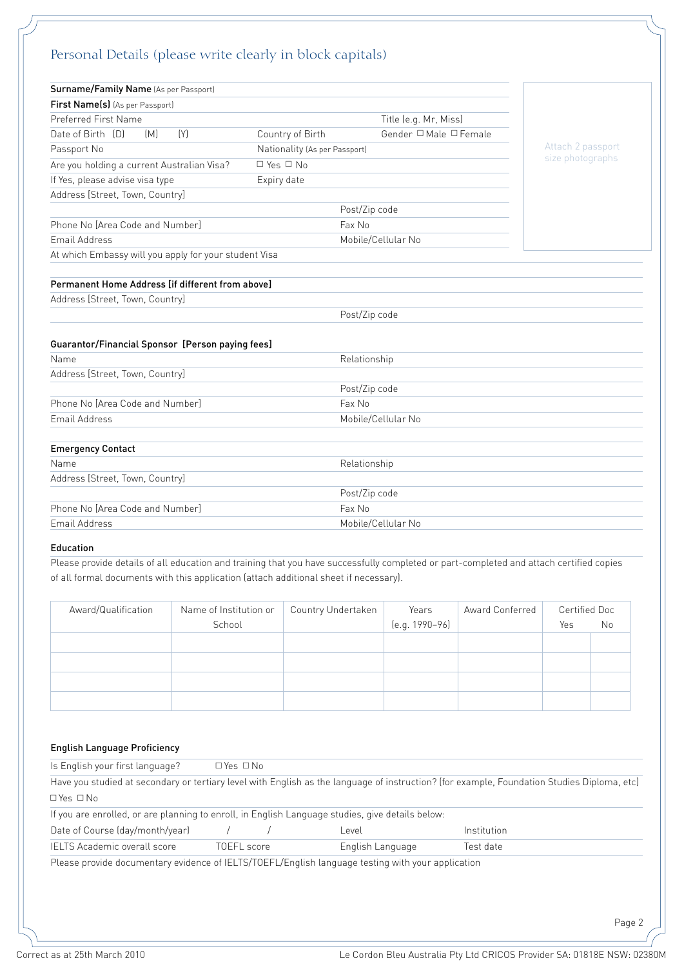| Personal Details (please write clearly in block capitals)                                             |                               |                        |                   |
|-------------------------------------------------------------------------------------------------------|-------------------------------|------------------------|-------------------|
| Surname/Family Name (As per Passport)                                                                 |                               |                        |                   |
| First Name(s) (As per Passport)                                                                       |                               |                        |                   |
| Preferred First Name                                                                                  |                               | Title (e.g. Mr, Miss)  |                   |
| Date of Birth [D]<br>[M]<br>[Y]                                                                       | Country of Birth              | Gender □ Male □ Female |                   |
| Passport No                                                                                           | Nationality (As per Passport) |                        | Attach 2 passport |
| Are you holding a current Australian Visa?                                                            | $\Box$ Yes $\Box$ No          |                        | size photographs  |
| If Yes, please advise visa type                                                                       | Expiry date                   |                        |                   |
| Address [Street, Town, Country]                                                                       |                               |                        |                   |
|                                                                                                       |                               | Post/Zip code          |                   |
| Phone No [Area Code and Number]                                                                       |                               | Fax No                 |                   |
| Email Address                                                                                         |                               | Mobile/Cellular No     |                   |
| At which Embassy will you apply for your student Visa                                                 |                               |                        |                   |
|                                                                                                       |                               |                        |                   |
| Permanent Home Address [if different from above]                                                      |                               |                        |                   |
| Address [Street, Town, Country]                                                                       |                               |                        |                   |
|                                                                                                       |                               |                        |                   |
|                                                                                                       |                               | Post/Zip code          |                   |
|                                                                                                       |                               |                        |                   |
|                                                                                                       |                               |                        |                   |
| Name                                                                                                  |                               | Relationship           |                   |
|                                                                                                       |                               |                        |                   |
|                                                                                                       |                               | Post/Zip code          |                   |
| Guarantor/Financial Sponsor [Person paying fees]<br>Phone No [Area Code and Number]                   |                               | Fax No                 |                   |
| Email Address                                                                                         |                               | Mobile/Cellular No     |                   |
|                                                                                                       |                               |                        |                   |
|                                                                                                       |                               | Relationship           |                   |
| Name                                                                                                  |                               |                        |                   |
| <b>Emergency Contact</b>                                                                              |                               | Post/Zip code          |                   |
| Address [Street, Town, Country]<br>Address [Street, Town, Country]<br>Phone No [Area Code and Number] |                               | Fax No                 |                   |

# Education

Please provide details of all education and training that you have successfully completed or part-completed and attach certified copies of all formal documents with this application (attach additional sheet if necessary).

| Award/Qualification | Name of Institution or<br>School | Country Undertaken | Years<br>(e.g. 1990-96) | Award Conferred | Certified Doc<br>Yes | No |
|---------------------|----------------------------------|--------------------|-------------------------|-----------------|----------------------|----|
|                     |                                  |                    |                         |                 |                      |    |
|                     |                                  |                    |                         |                 |                      |    |
|                     |                                  |                    |                         |                 |                      |    |
|                     |                                  |                    |                         |                 |                      |    |

# English Language Proficiency

| Is English your first language?                                                                                                             | $\Box$ Yes $\Box$ No. |                  |             |  |
|---------------------------------------------------------------------------------------------------------------------------------------------|-----------------------|------------------|-------------|--|
| Have you studied at secondary or tertiary level with English as the language of instruction? (for example, Foundation Studies Diploma, etc) |                       |                  |             |  |
| $\Box$ Yes $\Box$ No                                                                                                                        |                       |                  |             |  |
| If you are enrolled, or are planning to enroll, in English Language studies, give details below:                                            |                       |                  |             |  |
| Date of Course (day/month/year)                                                                                                             |                       | Level            | Institution |  |
| <b>IELTS Academic overall score</b>                                                                                                         | TOEFL score           | English Language | Test date   |  |
| Please provide documentary evidence of IELTS/TOEFL/English language testing with your application                                           |                       |                  |             |  |
|                                                                                                                                             |                       |                  |             |  |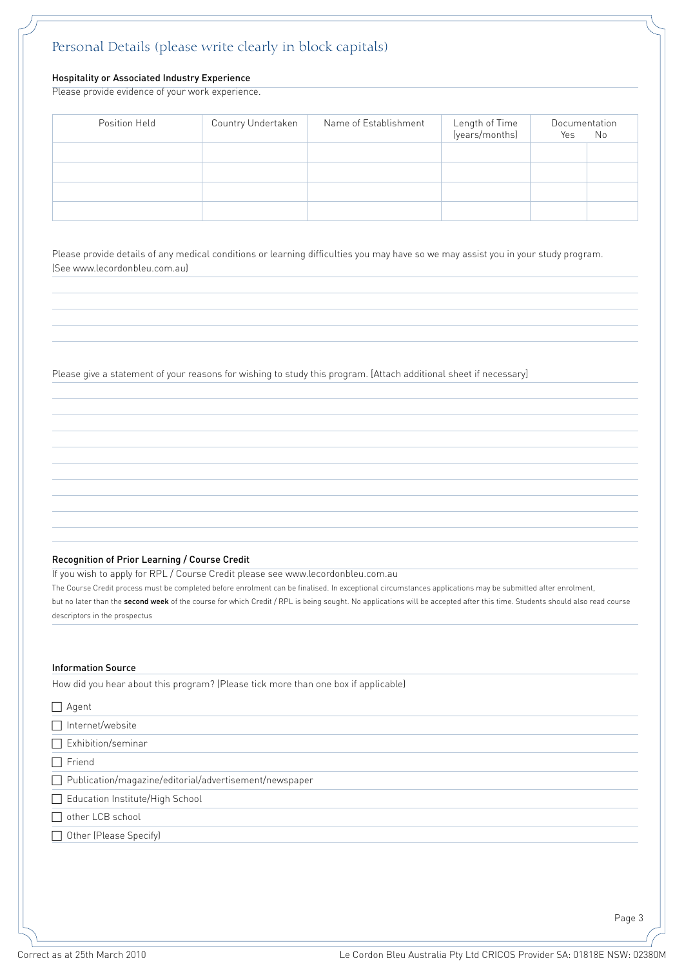# *Personal Details (please write clearly in block capitals)*

# Hospitality or Associated Industry Experience

Please provide evidence of your work experience.

| Position Held | Country Undertaken | Name of Establishment | Length of Time<br>(years/months) | Documentation<br>Yes | No |
|---------------|--------------------|-----------------------|----------------------------------|----------------------|----|
|               |                    |                       |                                  |                      |    |
|               |                    |                       |                                  |                      |    |
|               |                    |                       |                                  |                      |    |

Please provide details of any medical conditions or learning difficulties you may have so we may assist you in your study program. (See www.lecordonbleu.com.au)

Please give a statement of your reasons for wishing to study this program. [Attach additional sheet if necessary]

# Recognition of Prior Learning / Course Credit

If you wish to apply for RPL / Course Credit please see www.lecordonbleu.com.au

The Course Credit process must be completed before enrolment can be finalised. In exceptional circumstances applications may be submitted after enrolment,

but no later than the second week of the course for which Credit / RPL is being sought. No applications will be accepted after this time. Students should also read course descriptors in the prospectus

### Information Source

How did you hear about this program? (Please tick more than one box if applicable)

| $\Box$ Agent                                             |
|----------------------------------------------------------|
| $\Box$ Internet/website                                  |
| Exhibition/seminar                                       |
| $\Box$ Friend                                            |
| □ Publication/magazine/editorial/advertisement/newspaper |
| Education Institute/High School                          |
| other LCB school                                         |
| Other (Please Specify)                                   |
|                                                          |
|                                                          |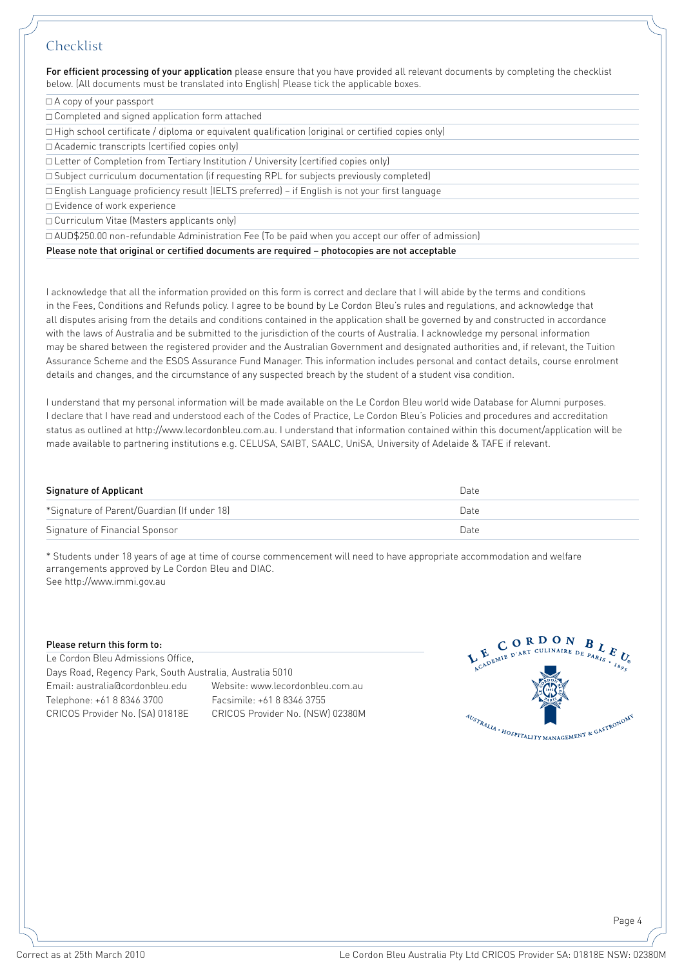# *Checklist*

For efficient processing of your application please ensure that you have provided all relevant documents by completing the checklist below. (All documents must be translated into English) Please tick the applicable boxes.

# $\Box$  A copy of your passport

 $\Box$  Completed and signed application form attached

 $\Box$  High school certificate / diploma or equivalent qualification (original or certified copies only)

<sup>c</sup> Academic transcripts (certified copies only)

<sup>c</sup> Letter of Completion from Tertiary Institution / University (certified copies only)

<sup>c</sup> Subject curriculum documentation (if requesting RPL for subjects previously completed)

<sup>c</sup> English Language proficiency result (IELTS preferred) – if English is not your first language

□ Evidence of work experience

<sup>c</sup> Curriculum Vitae (Masters applicants only)

<sup>c</sup> AUD\$250.00 non-refundable Administration Fee (To be paid when you accept our offer of admission)

Please note that original or certified documents are required – photocopies are not acceptable

I acknowledge that all the information provided on this form is correct and declare that I will abide by the terms and conditions in the Fees, Conditions and Refunds policy. I agree to be bound by Le Cordon Bleu's rules and regulations, and acknowledge that all disputes arising from the details and conditions contained in the application shall be governed by and constructed in accordance with the laws of Australia and be submitted to the jurisdiction of the courts of Australia. I acknowledge my personal information may be shared between the registered provider and the Australian Government and designated authorities and, if relevant, the Tuition Assurance Scheme and the ESOS Assurance Fund Manager. This information includes personal and contact details, course enrolment details and changes, and the circumstance of any suspected breach by the student of a student visa condition.

I understand that my personal information will be made available on the Le Cordon Bleu world wide Database for Alumni purposes. I declare that I have read and understood each of the Codes of Practice, Le Cordon Bleu's Policies and procedures and accreditation status as outlined at http://www.lecordonbleu.com.au. I understand that information contained within this document/application will be made available to partnering institutions e.g. CELUSA, SAIBT, SAALC, UniSA, University of Adelaide & TAFE if relevant.

| <b>Signature of Applicant</b>               | Date |
|---------------------------------------------|------|
| *Signature of Parent/Guardian (If under 18) | Date |
| Signature of Financial Sponsor              | Date |

\* Students under 18 years of age at time of course commencement will need to have appropriate accommodation and welfare arrangements approved by Le Cordon Bleu and DIAC. See http://www.immi.gov.au

# Please return this form to:

Le Cordon Bleu Admissions Office, Days Road, Regency Park, South Australia, Australia 5010 Email: australia@cordonbleu.edu Website: www.lecordonbleu.com.au Telephone: +61 8 8346 3700 Facsimile: +61 8 8346 3755 CRICOS Provider No. (SA) 01818E CRICOS Provider No. (NSW) 02380M



Page 4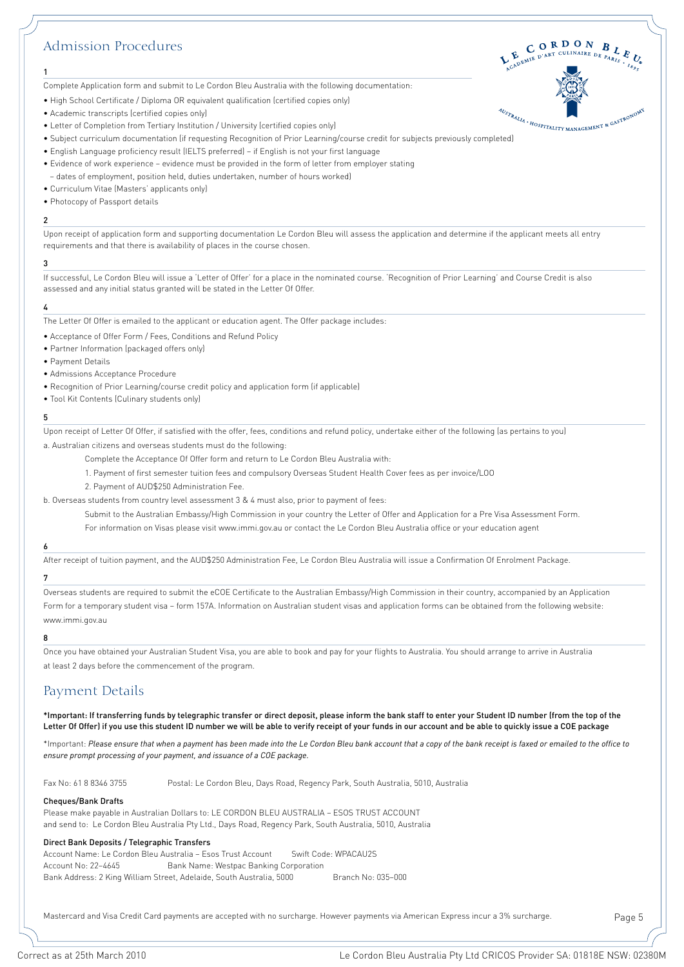# *Admission Procedures*



Complete Application form and submit to Le Cordon Bleu Australia with the following documentation:

• High School Certificate / Diploma OR equivalent qualification (certified copies only)

- Academic transcripts (certified copies only)
- Letter of Completion from Tertiary Institution / University (certified copies only)
- e Academic transcripts (certified copies only)<br>• Letter of Completion from Tertiary Institution / University (certified copies only)<br>• Subject curriculum documentation (if requesting Recognition of Prior Learning/course c
- English Language proficiency result (IELTS preferred) if English is not your first language
- Evidence of work experience evidence must be provided in the form of letter from employer stating
- dates of employment, position held, duties undertaken, number of hours worked)
- Curriculum Vitae (Masters' applicants only)
- Photocopy of Passport details

#### $\overline{2}$

1

Upon receipt of application form and supporting documentation Le Cordon Bleu will assess the application and determine if the applicant meets all entry requirements and that there is availability of places in the course chosen.

#### 3

If successful, Le Cordon Bleu will issue a 'Letter of Offer' for a place in the nominated course. 'Recognition of Prior Learning' and Course Credit is also assessed and any initial status granted will be stated in the Letter Of Offer.

### 4

The Letter Of Offer is emailed to the applicant or education agent. The Offer package includes:

- Acceptance of Offer Form / Fees, Conditions and Refund Policy
- Partner Information (packaged offers only)
- Payment Details
- Admissions Acceptance Procedure
- Recognition of Prior Learning/course credit policy and application form (if applicable)
- Tool Kit Contents (Culinary students only)

#### 5

Upon receipt of Letter Of Offer, if satisfied with the offer, fees, conditions and refund policy, undertake either of the following (as pertains to you) a. Australian citizens and overseas students must do the following:

- Complete the Acceptance Of Offer form and return to Le Cordon Bleu Australia with:
- 1. Payment of first semester tuition fees and compulsory Overseas Student Health Cover fees as per invoice/LOO
- 2. Payment of AUD\$250 Administration Fee.
- b. Overseas students from country level assessment 3 & 4 must also, prior to payment of fees:

Submit to the Australian Embassy/High Commission in your country the Letter of Offer and Application for a Pre Visa Assessment Form.

For information on Visas please visit www.immi.gov.au or contact the Le Cordon Bleu Australia office or your education agent

### 6

After receipt of tuition payment, and the AUD\$250 Administration Fee, Le Cordon Bleu Australia will issue a Confirmation Of Enrolment Package.

### 7

Overseas students are required to submit the eCOE Certificate to the Australian Embassy/High Commission in their country, accompanied by an Application Form for a temporary student visa – form 157A. Information on Australian student visas and application forms can be obtained from the following website: www.immi.gov.au

### 8

Once you have obtained your Australian Student Visa, you are able to book and pay for your flights to Australia. You should arrange to arrive in Australia at least 2 days before the commencement of the program.

# *Payment Details*

\*Important: If transferring funds by telegraphic transfer or direct deposit, please inform the bank staff to enter your Student ID number (from the top of the Letter Of Offer) if you use this student ID number we will be able to verify receipt of your funds in our account and be able to quickly issue a COE package

\*Important: *Please ensure that when a payment has been made into the Le Cordon Bleu bank account that a copy of the bank receipt is faxed or emailed to the office to ensure prompt processing of your payment, and issuance of a COE package.*

Fax No: 61 8 8346 3755 Postal: Le Cordon Bleu, Days Road, Regency Park, South Australia, 5010, Australia

### Cheques/Bank Drafts

Please make payable in Australian Dollars to: LE CORDON BLEU AUSTRALIA – ESOS TRUST ACCOUNT and send to: Le Cordon Bleu Australia Pty Ltd., Days Road, Regency Park, South Australia, 5010, Australia

#### Direct Bank Deposits / Telegraphic Transfers

Account Name: Le Cordon Bleu Australia – Esos Trust Account Swift Code: WPACAU2S Account No: 22-4645 Bank Name: Westpac Banking Corporation Bank Address: 2 King William Street, Adelaide, South Australia, 5000 Branch No: 035-000

Mastercard and Visa Credit Card payments are accepted with no surcharge. However payments via American Express incur a 3% surcharge.

Page 5